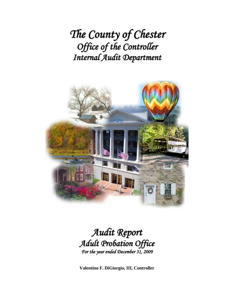*The County of Chester Office of the Controller Internal Audit Department*



## *Audit Report Adult Probation Office For the year ended December 31, 2009*

**Valentino F. DiGiorgio, III, Controller**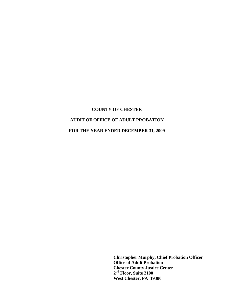#### **AUDIT OF OFFICE OF ADULT PROBATION**

**FOR THE YEAR ENDED DECEMBER 31, 2009** 

**Christopher Murphy, Chief Probation Officer Office of Adult Probation Chester County Justice Center 2nd Floor, Suite 2100 West Chester, PA 19380**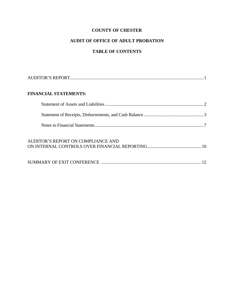## **AUDIT OF OFFICE OF ADULT PROBATION**

## **TABLE OF CONTENTS**

| <b>FINANCIAL STATEMENTS:</b>       |  |
|------------------------------------|--|
|                                    |  |
|                                    |  |
|                                    |  |
| AUDITOR'S REPORT ON COMPLIANCE AND |  |
|                                    |  |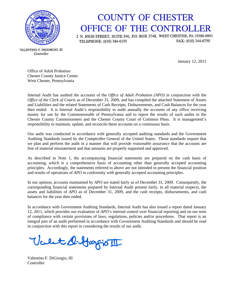

# **COUNTY OF CHESTER** OFFICE OF THE CONTROLLER

2 N. HIGH STREET, SUITE 540, P.O. BOX 2748, WEST CHESTER, PA 19380-0991 FAX: (610) 344-6750 TELEPHONE: (610) 344-6155

VALENTINO F. DIGIORGIO, III Controller

January 12, 2011

Office of Adult Probation Chester County Justice Center West Chester, Pennsylvania

Internal Audit has audited the accounts of the *Office of Adult Probation (APO)* in conjunction with the *Office of the Clerk of Courts* as of December 31, 2009, and has compiled the attached Statement of Assets and Liabilities and the related Statements of Cash Receipts, Disbursements, and Cash Balances for the year then ended. It is Internal Audit's responsibility to audit annually the accounts of any office receiving money for use by the Commonwealth of Pennsylvania and to report the results of such audits to the Chester County Commissioners and the Chester County Court of Common Pleas. It is management's responsibility to maintain, update, and reconcile these accounts on a continuous basis.

Our audit was conducted in accordance with generally accepted auditing standards and the Government Auditing Standards issued by the Comptroller General of the United States. Those standards require that we plan and perform the audit in a manner that will provide *reasonable assurance* that the accounts are free of material misstatement and that amounts are properly supported and approved.

As described in Note 1, the accompanying financial statements are prepared on the cash basis of accounting, which is a comprehensive basis of accounting other than generally accepted accounting principles. Accordingly, the statements referred to above are not intended to present the financial position and results of operations of *APO* in conformity with generally accepted accounting principles.

In our opinion, accounts maintained by *APO* are stated fairly as of December 31, 2009. Consequently, the corresponding financial statements prepared by Internal Audit present fairly, in all material respects, the assets and liabilities of *APO* as of December 31, 2009, and the cash receipts, disbursements, and cash balances for the year then ended.

In accordance with Government Auditing Standards, Internal Audit has also issued a report dated January 12, 2011, which provides our evaluation of *APO's* internal control over financial reporting and on our tests of compliance with certain provisions of laws, regulations, policies and/or procedures. That report is an integral part of an audit performed in accordance with Government Auditing Standards and should be read in conjunction with this report in considering the results of our audit.

Valet O. Grapio III

Valentino F. DiGiorgio, III **Controller**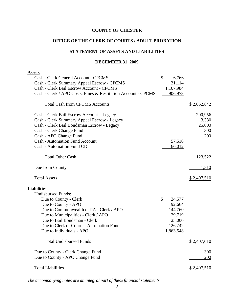#### **OFFICE OF THE CLERK OF COURTS / ADULT PROBATION**

### **STATEMENT OF ASSETS AND LIABILITIES**

#### **DECEMBER 31, 2009**

| <b>Assets</b>                                                 |              |             |
|---------------------------------------------------------------|--------------|-------------|
| Cash - Clerk General Account - CPCMS                          | \$<br>6,766  |             |
| Cash - Clerk Summary Appeal Escrow - CPCMS                    | 31,114       |             |
| Cash - Clerk Bail Escrow Account - CPCMS                      | 1,107,984    |             |
| Cash - Clerk / APO Costs, Fines & Restitution Account - CPCMS | 906,978      |             |
| <b>Total Cash from CPCMS Accounts</b>                         |              | \$2,052,842 |
| Cash - Clerk Bail Escrow Account – Legacy                     |              | 200,956     |
| Cash - Clerk Summary Appeal Escrow - Legacy                   |              | 3,380       |
| Cash - Clerk Bail Bondsman Escrow - Legacy                    |              | 25,000      |
| Cash - Clerk Change Fund                                      |              | 300         |
| Cash - APO Change Fund                                        |              | 200         |
| <b>Cash - Automation Fund Account</b>                         | 57,510       |             |
| <b>Cash - Automation Fund CD</b>                              | 66,012       |             |
| <b>Total Other Cash</b>                                       |              | 123,522     |
| Due from County                                               |              | 1,310       |
| <b>Total Assets</b>                                           |              | \$2,407,510 |
| <b>Liabilities</b>                                            |              |             |
| <b>Undisbursed Funds:</b>                                     |              |             |
| Due to County - Clerk                                         | \$<br>24,577 |             |
| Due to County - APO                                           | 192,664      |             |
| Due to Commonwealth of PA - Clerk / APO                       | 144,760      |             |
| Due to Municipalities - Clerk / APO                           | 29,719       |             |
| Due to Bail Bondsman - Clerk                                  | 25,000       |             |
| Due to Clerk of Courts - Automation Fund                      | 126,742      |             |
| Due to Individuals - APO                                      | 1,863,548    |             |
| <b>Total Undisbursed Funds</b>                                |              | \$2,407,010 |
| Due to County - Clerk Change Fund                             |              | 300         |
| Due to County - APO Change Fund                               |              | 200         |
| <b>Total Liabilities</b>                                      |              | \$2,407,510 |
|                                                               |              |             |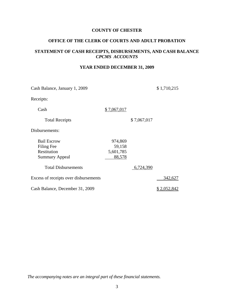#### **OFFICE OF THE CLERK OF COURTS AND ADULT PROBATION**

#### **STATEMENT OF CASH RECEIPTS, DISBURSEMENTS, AND CASH BALANCE**  *CPCMS ACCOUNTS*

#### **YEAR ENDED DECEMBER 31, 2009**

| Cash Balance, January 1, 2009         |             |             | \$1,710,215 |
|---------------------------------------|-------------|-------------|-------------|
| Receipts:                             |             |             |             |
| Cash                                  | \$7,067,017 |             |             |
| <b>Total Receipts</b>                 |             | \$7,067,017 |             |
| Disbursements:                        |             |             |             |
| <b>Bail Escrow</b>                    | 974,869     |             |             |
| Filing Fee                            | 59,158      |             |             |
| Restitution                           | 5,601,785   |             |             |
| <b>Summary Appeal</b>                 | 88,578      |             |             |
| <b>Total Disbursements</b>            |             | 6,724,390   |             |
| Excess of receipts over disbursements |             |             | 342,627     |
| Cash Balance, December 31, 2009       |             |             | 2,052,842   |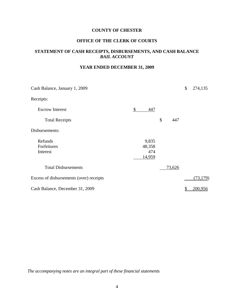#### **OFFICE OF THE CLERK OF COURTS**

#### **STATEMENT OF CASH RECEIPTS, DISBURSEMENTS, AND CASH BALANCE**  *BAIL ACCOUNT*

#### **YEAR ENDED DECEMBER 31, 2009**

| Cash Balance, January 1, 2009           |           |           | \$       | 274,135   |
|-----------------------------------------|-----------|-----------|----------|-----------|
| Receipts:                               |           |           |          |           |
| <b>Escrow Interest</b>                  | \$<br>447 |           |          |           |
| <b>Total Receipts</b>                   |           | \$<br>447 |          |           |
| Disbursements:                          |           |           |          |           |
| Refunds                                 | 9,835     |           |          |           |
| Forfeitures                             | 48,358    |           |          |           |
| Interest                                | 474       |           |          |           |
|                                         | 14,959    |           |          |           |
| <b>Total Disbursements</b>              |           | 73,626    |          |           |
| Excess of disbursements (over) receipts |           |           |          | (73, 179) |
| Cash Balance, December 31, 2009         |           |           | <u>s</u> | 200,956   |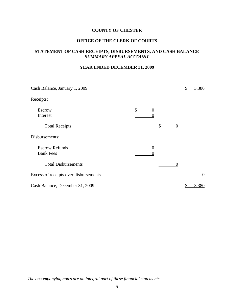#### **OFFICE OF THE CLERK OF COURTS**

#### **STATEMENT OF CASH RECEIPTS, DISBURSEMENTS, AND CASH BALANCE**  *SUMMARY APPEAL ACCOUNT*

#### **YEAR ENDED DECEMBER 31, 2009**

| Cash Balance, January 1, 2009             |               |                     |                  | \$<br>3,380 |
|-------------------------------------------|---------------|---------------------|------------------|-------------|
| Receipts:                                 |               |                     |                  |             |
| <b>Escrow</b><br>Interest                 | $\mathcal{S}$ | $\overline{0}$<br>0 |                  |             |
| <b>Total Receipts</b>                     |               | \$                  | $\boldsymbol{0}$ |             |
| Disbursements:                            |               |                     |                  |             |
| <b>Escrow Refunds</b><br><b>Bank Fees</b> |               | $\overline{0}$<br>0 |                  |             |
| <b>Total Disbursements</b>                |               |                     | $\theta$         |             |
| Excess of receipts over disbursements     |               |                     |                  | $\theta$    |
| Cash Balance, December 31, 2009           |               |                     |                  | 3,380       |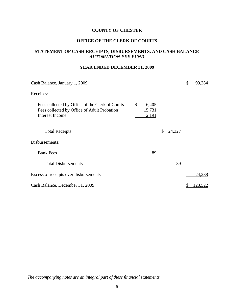#### **OFFICE OF THE CLERK OF COURTS**

#### **STATEMENT OF CASH RECEIPTS, DISBURSEMENTS, AND CASH BALANCE**  *AUTOMATION FEE FUND*

#### **YEAR ENDED DECEMBER 31, 2009**

| Cash Balance, January 1, 2009                                                                                            |              |                |        | \$<br>99,284    |
|--------------------------------------------------------------------------------------------------------------------------|--------------|----------------|--------|-----------------|
| Receipts:                                                                                                                |              |                |        |                 |
| Fees collected by Office of the Clerk of Courts<br>Fees collected by Office of Adult Probation<br><b>Interest Income</b> | \$<br>15,731 | 6,405<br>2,191 |        |                 |
| <b>Total Receipts</b>                                                                                                    |              | \$             | 24,327 |                 |
| Disbursements:                                                                                                           |              |                |        |                 |
| <b>Bank Fees</b>                                                                                                         |              | 89             |        |                 |
| <b>Total Disbursements</b>                                                                                               |              |                | 89     |                 |
| Excess of receipts over disbursements                                                                                    |              |                |        | 24,238          |
| Cash Balance, December 31, 2009                                                                                          |              |                |        | <u> 123,522</u> |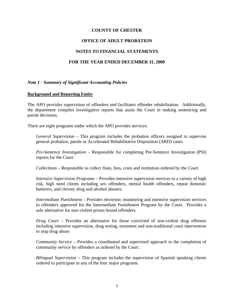#### **OFFICE OF ADULT PROBATION**

#### **NOTES TO FINANCIAL STATEMENTS**

#### **FOR THE YEAR ENDED DECEMBER 31, 2009**

#### *Note 1 - Summary of Significant Accounting Policies*

#### **Background and Reporting Entity**

The APO provides supervision of offenders and facilitates offender rehabilitation. Additionally, the department compiles investigative reports that assist the Court in making sentencing and parole decisions.

There are eight programs under which the APO provides services:

*General Supervision* – This program includes the probation officers assigned to supervise general probation, parole or Accelerated Rehabilitative Disposition (ARD) cases.

*Pre-Sentence Investigation* – Responsible for completing Pre-Sentence Investigation (PSI) reports for the Court.

*Collections* – Responsible to collect fines, fees, costs and restitution ordered by the Court.

*Intensive Supervision Programs* – Provides intensive supervision services to a variety of high risk, high need clients including sex offenders, mental health offenders, repeat domestic batterers, and chronic drug and alcohol abusers.

*Intermediate Punishment* – Provides electronic monitoring and intensive supervision services to offenders approved for the Intermediate Punishment Program by the Court. Provides a safe alternative for non-violent prison bound offenders.

*Drug Court* – Provides an alternative for those convicted of non-violent drug offenses including intensive supervision, drug testing, treatment and non-traditional court intervention to stop drug abuse.

*Community Service* – Provides a coordinated and supervised approach to the completion of community service by offenders as ordered by the Court.

*Bilingual Supervision* – This program includes the supervision of Spanish speaking clients ordered to participate in any of the four major programs.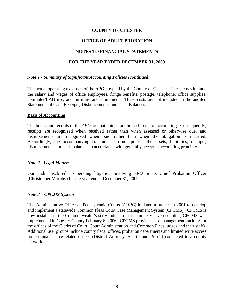#### **OFFICE OF ADULT PROBATION**

#### **NOTES TO FINANCIAL STATEMENTS**

#### **FOR THE YEAR ENDED DECEMBER 31, 2009**

#### *Note 1 - Summary of Significant Accounting Policies (continued)*

The actual operating expenses of the *APO* are paid by the County of Chester. These costs include the salary and wages of office employees, fringe benefits, postage, telephone, office supplies, computer/LAN use, and furniture and equipment. These costs are not included in the audited Statements of Cash Receipts, Disbursements, and Cash Balances.

#### **Basis of Accounting**

The books and records of the *APO* are maintained on the cash basis of accounting. Consequently, receipts are recognized when received rather than when assessed or otherwise due, and disbursements are recognized when paid rather than when the obligation is incurred. Accordingly, the accompanying statements do not present the assets, liabilities, receipts, disbursements, and cash balances in accordance with generally accepted accounting principles.

#### *Note 2 - Legal Matters*

Our audit disclosed no pending litigation involving *APO* or its Chief Probation Officer (Christopher Murphy) for the year ended December 31, 2009.

#### *Note 3 – CPCMS System*

The Administrative Office of Pennsylvania Courts *(AOPC)* initiated a project in 2001 to develop and implement a statewide Common Pleas Court Case Management System (CPCMS). CPCMS is now installed in the Commonwealth's sixty judicial districts in sixty-seven counties; CPCMS was implemented in Chester County February 6, 2006. CPCMS provides case management tracking for the offices of the Clerks of Court, Court Administration and Common Pleas judges and their staffs. Additional user groups include county fiscal offices, probation departments and limited write access for criminal justice-related offices (District Attorney, Sheriff and Prison) connected to a county network.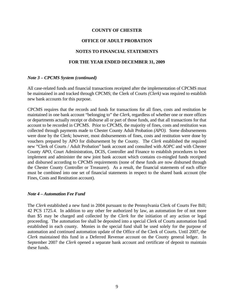#### **OFFICE OF ADULT PROBATION**

#### **NOTES TO FINANCIAL STATEMENTS**

#### **FOR THE YEAR ENDED DECEMBER 31, 2009**

#### *Note 3 – CPCMS System (continued)*

All case-related funds and financial transactions receipted after the implementation of CPCMS must be maintained in and tracked through CPCMS; the Clerk of Courts *(Clerk)* was required to establish new bank accounts for this purpose.

CPCMS requires that the records and funds for transactions for all fines, costs and restitution be maintained in one bank account "belonging to" the *Clerk*, regardless of whether one or more offices or departments actually receipt or disburse all or part of those funds, and that all transactions for that account to be recorded in CPCMS. Prior to CPCMS, the majority of fines, costs and restitution was collected through payments made to Chester County Adult Probation *(APO).* Some disbursements were done by the Clerk; however, most disbursements of fines, costs and restitution were done by vouchers prepared by APO for disbursement by the County. The *Clerk* established the required new "Clerk of Courts / Adult Probation" bank account and consulted with *AOPC* and with Chester County *APO*, Court Administration, DCIS, Controller and Finance to establish procedures to best implement and administer the new joint bank account which contains co-mingled funds receipted and disbursed according to CPCMS requirements (none of these funds are now disbursed through the Chester County Controller or Treasurer). As a result, the financial statements of each office must be combined into one set of financial statements in respect to the shared bank account (the Fines, Costs and Restitution account).

#### *Note 4 – Automation Fee Fund*

The *Clerk* established a new fund in 2004 pursuant to the Pennsylvania Clerk of Courts Fee Bill; 42 PCS 1725.4. In addition to any other fee authorized by law, an automation fee of not more than \$5 may be charged and collected by the *Clerk* for the initiation of any action or legal proceeding. The automation fee shall be deposited into a special Clerk of Courts automation fund established in each county. Monies in the special fund shall be used solely for the purpose of automation and continued automation update of the Office of the Clerk of Courts. Until 2007, the *Clerk* maintained this fund in a Deferred Revenue account on the County general ledger. In September 2007 the *Clerk* opened a separate bank account and certificate of deposit to maintain these funds.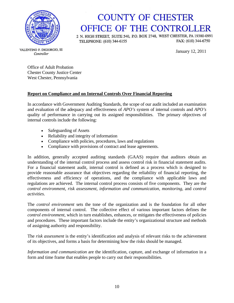

# **COUNTY OF CHESTER** OFFICE OF THE CONTROLLER

2 N. HIGH STREET, SUITE 540, P.O. BOX 2748, WEST CHESTER, PA 19380-0991 FAX: (610) 344-6750 TELEPHONE: (610) 344-6155

January 12, 2011

VALENTINO F. DIGIORGIO, III Controller

> Office of Adult Probation Chester County Justice Center West Chester, Pennsylvania

#### **Report on Compliance and on Internal Controls Over Financial Reporting**

In accordance with Government Auditing Standards, the scope of our audit included an examination and evaluation of the adequacy and effectiveness of *APO's* system of internal controls and *APO's* quality of performance in carrying out its assigned responsibilities. The primary objectives of internal controls include the following:

- Safeguarding of Assets
- Reliability and integrity of information
- Compliance with policies, procedures, laws and regulations
- Compliance with provisions of contract and lease agreements.

In addition, generally accepted auditing standards (GAAS) require that auditors obtain an understanding of the internal control process and assess control risk in financial statement audits. For a financial statement audit, internal control is defined as a process which is designed to provide reasonable assurance that objectives regarding the reliability of financial reporting, the effectiveness and efficiency of operations, and the compliance with applicable laws and regulations are achieved. The internal control process consists of five components. They are the *control environment*, *risk assessment*, *information and communication*, *monitoring*, and *control activities*.

The *control environment* sets the tone of the organization and is the foundation for all other components of internal control. The collective effect of various important factors defines the *control environment*, which in turn establishes, enhances, or mitigates the effectiveness of policies and procedures. These important factors include the entity's organizational structure and methods of assigning authority and responsibility.

The *risk assessment* is the entity's identification and analysis of relevant risks to the achievement of its objectives, and forms a basis for determining how the risks should be managed.

*Information and communication* are the identification, capture, and exchange of information in a form and time frame that enables people to carry out their responsibilities.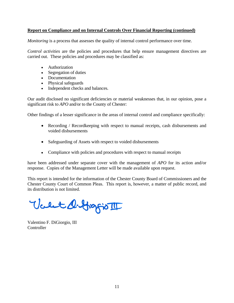#### **Report on Compliance and on Internal Controls Over Financial Reporting (continued)**

*Monitoring* is a process that assesses the quality of internal control performance over time.

*Control activities* are the policies and procedures that help ensure management directives are carried out. These policies and procedures may be classified as:

- Authorization
- Segregation of duties
- Documentation
- Physical safeguards
- Independent checks and balances.

Our audit disclosed no significant deficiencies or material weaknesses that, in our opinion, pose a significant risk to *APO* and/or to the County of Chester:

Other findings of a lesser significance in the areas of internal control and compliance specifically:

- Recording / Recordkeeping with respect to manual receipts, cash disbursements and voided disbursements
- Safeguarding of Assets with respect to voided disbursements
- Compliance with policies and procedures with respect to manual receipts

have been addressed under separate cover with the management of *APO* for its action and/or response. Copies of the Management Letter will be made available upon request.

This report is intended for the information of the Chester County Board of Commissioners and the Chester County Court of Common Pleas. This report is, however, a matter of public record, and its distribution is not limited.

Valet diffingion

Valentino F. DiGiorgio, III Controller